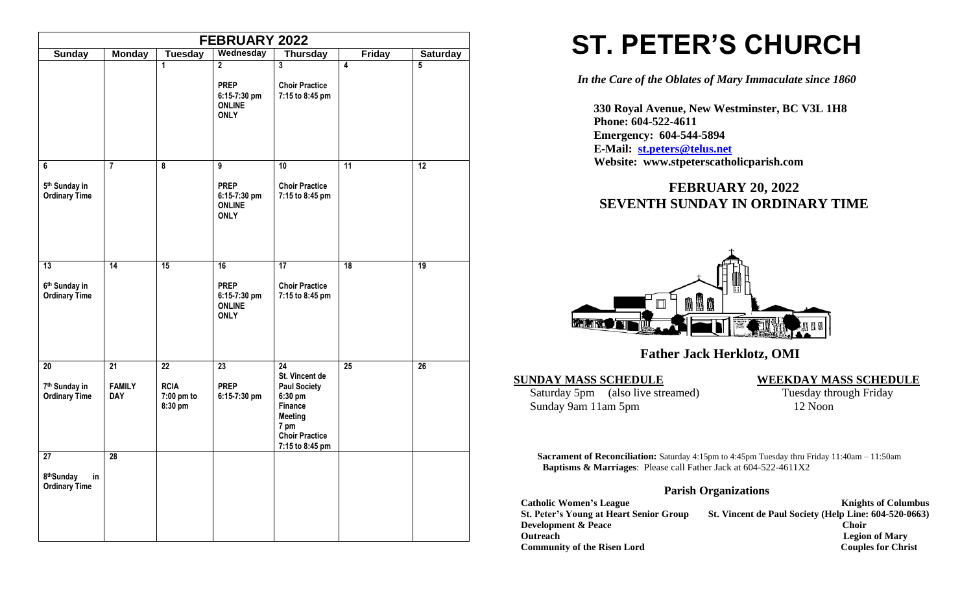|                                                             |                                   |                                            | <b>FEBRUARY 2022</b>                                                          |                                                                                                                                                      |                         |                 |
|-------------------------------------------------------------|-----------------------------------|--------------------------------------------|-------------------------------------------------------------------------------|------------------------------------------------------------------------------------------------------------------------------------------------------|-------------------------|-----------------|
| <b>Sunday</b>                                               | <b>Monday</b>                     | <b>Tuesday</b>                             | Wednesday                                                                     | <b>Thursday</b>                                                                                                                                      | <b>Friday</b>           | <b>Saturday</b> |
|                                                             |                                   | $\mathbf{1}$                               | $\overline{2}$<br><b>PREP</b><br>6:15-7:30 pm<br><b>ONLINE</b><br><b>ONLY</b> | $\overline{3}$<br><b>Choir Practice</b><br>7:15 to 8:45 pm                                                                                           | $\overline{\mathbf{4}}$ | $\overline{5}$  |
| 6<br>5 <sup>th</sup> Sunday in<br><b>Ordinary Time</b>      | $\overline{7}$                    | $\overline{\mathbf{8}}$                    | 9<br><b>PREP</b><br>6:15-7:30 pm<br><b>ONLINE</b><br><b>ONLY</b>              | 10<br><b>Choir Practice</b><br>7:15 to 8:45 pm                                                                                                       | $\overline{11}$         | $\overline{12}$ |
| 13<br>6 <sup>th</sup> Sunday in<br><b>Ordinary Time</b>     | 14                                | 15                                         | 16<br><b>PREP</b><br>6:15-7:30 pm<br><b>ONLINE</b><br><b>ONLY</b>             | 17<br><b>Choir Practice</b><br>7:15 to 8:45 pm                                                                                                       | $\overline{18}$         | 19              |
| $20\,$<br>7 <sup>th</sup> Sunday in<br><b>Ordinary Time</b> | 21<br><b>FAMILY</b><br><b>DAY</b> | 22<br><b>RCIA</b><br>7:00 pm to<br>8:30 pm | 23<br><b>PREP</b><br>6:15-7:30 pm                                             | $\overline{24}$<br>St. Vincent de<br><b>Paul Society</b><br>6:30 pm<br>Finance<br><b>Meeting</b><br>7 pm<br><b>Choir Practice</b><br>7:15 to 8:45 pm | $\overline{25}$         | $\overline{26}$ |
| 27<br>8thSunday<br>in<br><b>Ordinary Time</b>               | 28                                |                                            |                                                                               |                                                                                                                                                      |                         |                 |

# **ST. PETER'S CHURCH**

*In the Care of the Oblates of Mary Immaculate since 1860*

 **330 Royal Avenue, New Westminster, BC V3L 1H8 Phone: 604-522-4611 Emergency: 604-544-5894 E-Mail: [st.peters@telus.net](mailto:st.peters@telus.net) Website: www.stpeterscatholicparish.com**

## **FEBRUARY 20, 2022 SEVENTH SUNDAY IN ORDINARY TIME**



## **Father Jack Herklotz, OMI**

#### **SUNDAY MASS SCHEDULE WEEKDAY MASS SCHEDULE**

Saturday 5pm (also live streamed) Tuesday through Friday<br>Sunday 9am 11am 5pm 12 Noon Sunday 9am 11am 5pm

**Sacrament of Reconciliation:** Saturday 4:15pm to 4:45pm Tuesday thru Friday 11:40am – 11:50am  **Baptisms & Marriages**: Please call Father Jack at 604-522-4611X2

#### **Parish Organizations**

| <b>Catholic Women's League</b>                 | <b>Knights of Columbus</b>                            |
|------------------------------------------------|-------------------------------------------------------|
| <b>St. Peter's Young at Heart Senior Group</b> | St. Vincent de Paul Society (Help Line: 604-520-0663) |
| <b>Development &amp; Peace</b>                 | <b>Choir</b>                                          |
| <b>Outreach</b>                                | <b>Legion of Mary</b>                                 |
| <b>Community of the Risen Lord</b>             | <b>Couples for Christ</b>                             |